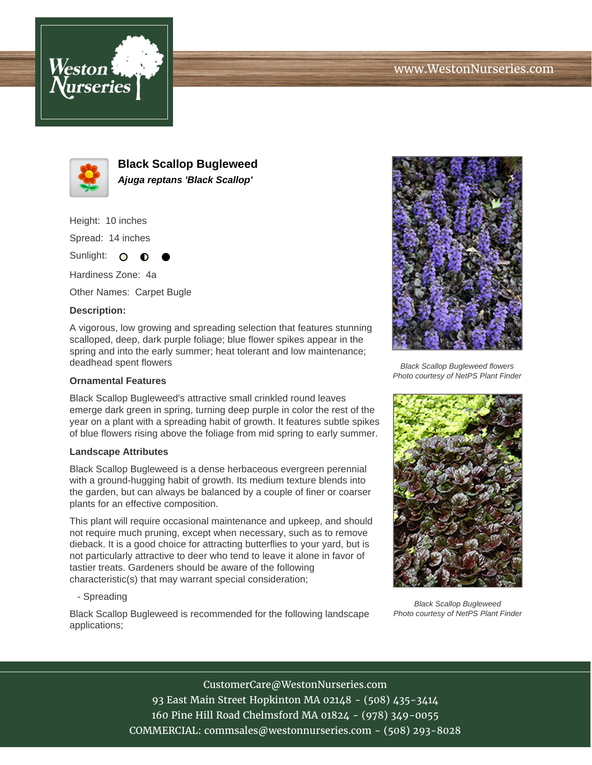



**Black Scallop Bugleweed Ajuga reptans 'Black Scallop'**

Height: 10 inches

Spread: 14 inches

Sunlight: O  $\bullet$ 

Hardiness Zone: 4a

Other Names: Carpet Bugle

## **Description:**

A vigorous, low growing and spreading selection that features stunning scalloped, deep, dark purple foliage; blue flower spikes appear in the spring and into the early summer; heat tolerant and low maintenance; deadhead spent flowers

## **Ornamental Features**

Black Scallop Bugleweed's attractive small crinkled round leaves emerge dark green in spring, turning deep purple in color the rest of the year on a plant with a spreading habit of growth. It features subtle spikes of blue flowers rising above the foliage from mid spring to early summer.

## **Landscape Attributes**

Black Scallop Bugleweed is a dense herbaceous evergreen perennial with a ground-hugging habit of growth. Its medium texture blends into the garden, but can always be balanced by a couple of finer or coarser plants for an effective composition.

This plant will require occasional maintenance and upkeep, and should not require much pruning, except when necessary, such as to remove dieback. It is a good choice for attracting butterflies to your yard, but is not particularly attractive to deer who tend to leave it alone in favor of tastier treats. Gardeners should be aware of the following characteristic(s) that may warrant special consideration;

- Spreading

Black Scallop Bugleweed is recommended for the following landscape applications;



Black Scallop Bugleweed flowers Photo courtesy of NetPS Plant Finder



Black Scallop Bugleweed Photo courtesy of NetPS Plant Finder

CustomerCare@WestonNurseries.com

93 East Main Street Hopkinton MA 02148 - (508) 435-3414 160 Pine Hill Road Chelmsford MA 01824 - (978) 349-0055 COMMERCIAL: commsales@westonnurseries.com - (508) 293-8028